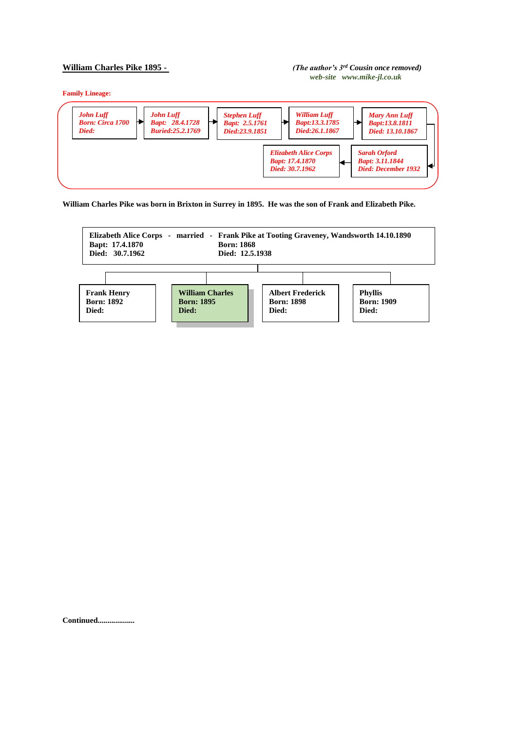## **William Charles Pike 1895 -** *(The author's 3<sup>rd</sup> Cousin once removed)* *web-site www.mike-jl.co.uk*

**Family Lineage:**



**William Charles Pike was born in Brixton in Surrey in 1895. He was the son of Frank and Elizabeth Pike.**



**Continued...................**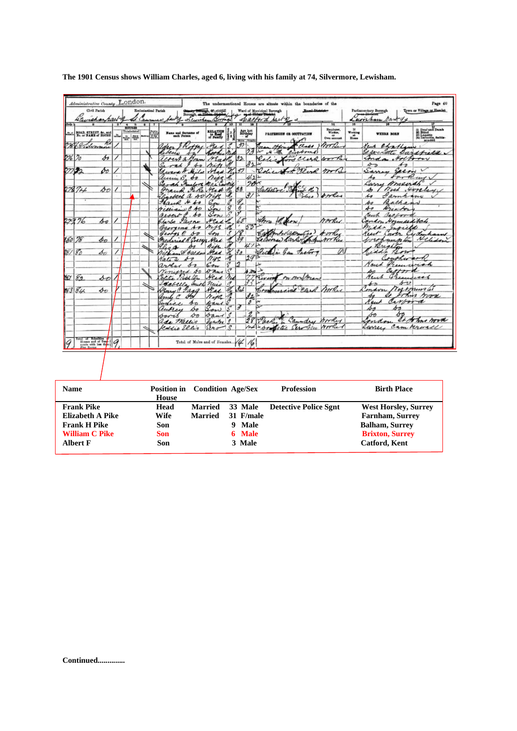| Solo Iq    | Scorenanhar                                     |                           |          |                               | $\bullet$ | Saurence   | Borough, en Historical             | oth Curiobay Berman | $\overline{10}$ | $\overline{\mathbf{u}}$ | $\overline{\mathbf{B}}$                                         | spatford sant of                                 | 15                                                            | $\overline{10}$       | Lurism Ran                              |                                                                                                   |
|------------|-------------------------------------------------|---------------------------|----------|-------------------------------|-----------|------------|------------------------------------|---------------------|-----------------|-------------------------|-----------------------------------------------------------------|--------------------------------------------------|---------------------------------------------------------------|-----------------------|-----------------------------------------|---------------------------------------------------------------------------------------------------|
|            | ROAD, STREET, &c., and<br>No. or NAME of Hollan |                           | Jà.      | ROURES<br>Unisloubster.<br>山田 |           | <b>TIE</b> | Name and Surname of                | RELATION            | 8               | Males , Franc           | $\frac{\Delta\mathcal{L}_\text{t}}{\Delta\mathcal{L}_\text{t}}$ | PROFESSION OR OCCUPATION                         | Easplayer,<br>Warker,<br>$\frac{\epsilon r}{0 \pi n}$ account | 11<br>Working<br>Home | WEERE BORN                              | (i) Deaf and Dumb<br>(ii) Siind<br>(3) Lundiie<br>(4) Imboriis, feeble-<br>(ii) Imboriis, feeble- |
|            | 68 Tilvamie                                     |                           |          |                               |           |            | $+441$<br>dem                      |                     | ₫               | 32.                     |                                                                 | & Class<br>Henry                                 | nor R                                                         |                       | Year chatha                             |                                                                                                   |
|            | 226 20                                          | s                         |          |                               |           |            | ebecco                             | both.<br>MEn.       |                 | 92                      | 2.3                                                             | $\mathcal{N}$<br>cintoms)<br>die ford clark work |                                                               |                       | asociate sarafula.<br>and               | Hothorn                                                                                           |
|            |                                                 |                           |          |                               |           |            | wira<br>Soum<br>Sa<br>$\mathbf{A}$ |                     |                 |                         |                                                                 |                                                  |                                                               |                       | $\overline{r}$<br>$\delta$ <sup>2</sup> |                                                                                                   |
|            | ツツシ                                             | bо                        |          |                               |           |            |                                    | Mad The             |                 | $\mathcal{I}$           |                                                                 | Go Verk mother                                   |                                                               |                       | Samey<br>Seem                           | τ                                                                                                 |
|            |                                                 |                           |          |                               |           |            | unio 15.<br>o                      | nise                |                 |                         | 412                                                             |                                                  |                                                               |                       | s.                                      | for Ruy                                                                                           |
|            |                                                 |                           |          |                               |           |            |                                    | MAL Santia          |                 |                         | 2 <sub>0</sub>                                                  |                                                  |                                                               |                       | Carry amendo                            |                                                                                                   |
|            | 27874                                           | sо                        | $\prime$ |                               |           |            |                                    | <b>Head</b>         |                 | $\beta\beta$            | $\mathcal{J}$                                                   | Cataline Se<br>24)                               | orles                                                         |                       | Work Horeles<br>s<br>مە                 |                                                                                                   |
|            |                                                 |                           |          |                               |           |            | webert a so<br>Faur                |                     |                 |                         |                                                                 |                                                  |                                                               |                       | Janne-Ano<br>s<br>Bathan                |                                                                                                   |
|            |                                                 |                           |          |                               |           |            | A <sub>D</sub><br>remaine          |                     | $\overline{S}$  | g                       |                                                                 |                                                  |                                                               |                       | s<br>Arentor                            |                                                                                                   |
|            |                                                 |                           |          |                               |           |            | .50<br>$test + 3$                  | $S_{\tau\tau}$      |                 |                         |                                                                 |                                                  |                                                               |                       | reach<br>Replace                        |                                                                                                   |
|            | 22376                                           | so                        |          |                               |           |            | Sayne<br>Sarles                    | Nead                |                 | 65                      |                                                                 |                                                  | rooker                                                        |                       | undon Hormandikch                       |                                                                                                   |
|            |                                                 |                           |          |                               |           |            | $A_{\mathcal{P}}$<br>Georgene      | riff                |                 |                         | 53                                                              |                                                  |                                                               |                       | i i<br>moul                             |                                                                                                   |
|            |                                                 |                           |          |                               |           |            | George C<br>so                     | 411                 |                 |                         |                                                                 |                                                  | rother                                                        |                       | non                                     | Cadenham                                                                                          |
|            | 780 78                                          | Óо                        |          |                               |           |            | Frederick R Corsers Nel            |                     |                 |                         |                                                                 |                                                  |                                                               |                       | vithmonto                               | Helidon                                                                                           |
|            | 80                                              |                           |          |                               |           |            |                                    | Aise.<br>Head       |                 |                         |                                                                 |                                                  |                                                               |                       | Brighton<br>siddle<br>15.014            |                                                                                                   |
| 8/         |                                                 | se                        |          |                               |           |            | in & baldon<br>ati a               | Nire                |                 |                         | 29                                                              |                                                  |                                                               |                       | Couther                                 |                                                                                                   |
|            |                                                 |                           |          |                               |           |            | óэ<br>arker                        | 6.01                | S               | 12                      |                                                                 |                                                  |                                                               |                       | Freuerich<br>out                        |                                                                                                   |
|            |                                                 |                           |          |                               |           |            | Vinigred So                        | Dans                |                 |                         | $\overline{a}$                                                  |                                                  |                                                               |                       | Cattorn                                 |                                                                                                   |
| <b>BET</b> | 82                                              | so                        |          |                               |           |            | Elitre Prest ton                   | Nead                | red             |                         | $\gamma\gamma$                                                  | Revised on our free                              |                                                               |                       | Acres<br>Gerry                          | uss                                                                                               |
|            |                                                 |                           |          |                               |           |            | <u> dabella</u><br>imuth.          | nuis                | ₫               |                         |                                                                 |                                                  |                                                               |                       | sv<br>kэ                                |                                                                                                   |
|            | 83 84                                           | $\mathbf{\Phi}\mathbf{v}$ |          |                               |           |            | Course C. F.<br>and                | free                |                 | 34                      |                                                                 | Commercial Carl hooks                            |                                                               |                       | marn                                    | Tostmum 41                                                                                        |
|            |                                                 |                           |          |                               |           |            |                                    | Mapa-               |                 |                         | 12                                                              |                                                  |                                                               |                       |                                         | when rood                                                                                         |
|            |                                                 |                           |          |                               |           |            | Æ.                                 | gaux 5              |                 | ₹                       | 5                                                               |                                                  |                                                               |                       | Cartera<br>Keut                         |                                                                                                   |
|            |                                                 |                           |          |                               |           |            | bо<br>lubren                       | Son                 | s               |                         |                                                                 |                                                  |                                                               |                       | bэ<br>bб                                |                                                                                                   |
|            |                                                 |                           |          |                               |           |            | DО<br>vores<br>ada Mallio          | band                | S               |                         | 28                                                              | Laundry booker<br>Vack                           |                                                               |                       | óo<br>Condon.                           | at to have now the                                                                                |
|            |                                                 |                           |          |                               | i         |            | Kallie Ellis                       | firstr<br>$s_{2n}$  | $\mathcal{I}$   |                         |                                                                 | * propeter Service                               | rooked                                                        |                       | Runey                                   | Cam kronall                                                                                       |
|            |                                                 |                           |          |                               |           |            |                                    |                     |                 |                         |                                                                 |                                                  |                                                               |                       |                                         |                                                                                                   |
|            | Total of Behadison of                           |                           |          |                               |           |            | Total of Males and of Females 44   |                     |                 |                         |                                                                 |                                                  |                                                               |                       |                                         |                                                                                                   |
|            | First Ecorps                                    |                           | 9        |                               |           |            |                                    |                     |                 |                         | 16                                                              |                                                  |                                                               |                       |                                         |                                                                                                   |
|            |                                                 |                           |          |                               |           |            |                                    |                     |                 |                         |                                                                 |                                                  |                                                               |                       |                                         |                                                                                                   |
|            |                                                 |                           |          |                               |           |            |                                    |                     |                 |                         |                                                                 |                                                  |                                                               |                       |                                         |                                                                                                   |

**The 1901 Census shows William Charles, aged 6, living with his family at 74, Silvermore, Lewisham.** 

| <b>Name</b>           | <b>Position in</b> Condition Age/Sex<br>House |                |           | <b>Profession</b>            | <b>Birth Place</b>          |
|-----------------------|-----------------------------------------------|----------------|-----------|------------------------------|-----------------------------|
| <b>Frank Pike</b>     | Head                                          | Married        | 33 Male   | <b>Detective Police Sgnt</b> | <b>West Horsley, Surrey</b> |
| Elizabeth A Pike      | Wife                                          | <b>Married</b> | 31 F/male |                              | <b>Farnham, Surrey</b>      |
| <b>Frank H Pike</b>   | Son                                           |                | 9 Male    |                              | <b>Balham, Surrey</b>       |
| <b>William C Pike</b> | <b>Son</b>                                    |                | 6 Male    |                              | <b>Brixton, Surrey</b>      |
| <b>Albert F</b>       | Son                                           |                | 3 Male    |                              | <b>Catford, Kent</b>        |